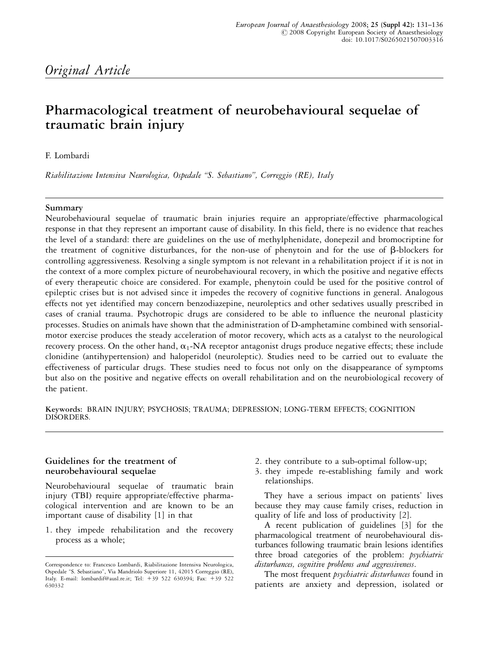# Original Article

# Pharmacological treatment of neurobehavioural sequelae of traumatic brain injury

F. Lombardi

Riabilitazione Intensiva Neurologica, Ospedale ''S. Sebastiano'', Correggio (RE), Italy

#### Summary

Neurobehavioural sequelae of traumatic brain injuries require an appropriate/effective pharmacological response in that they represent an important cause of disability. In this field, there is no evidence that reaches the level of a standard: there are guidelines on the use of methylphenidate, donepezil and bromocriptine for the treatment of cognitive disturbances, for the non-use of phenytoin and for the use of  $\beta$ -blockers for controlling aggressiveness. Resolving a single symptom is not relevant in a rehabilitation project if it is not in the context of a more complex picture of neurobehavioural recovery, in which the positive and negative effects of every therapeutic choice are considered. For example, phenytoin could be used for the positive control of epileptic crises but is not advised since it impedes the recovery of cognitive functions in general. Analogous effects not yet identified may concern benzodiazepine, neuroleptics and other sedatives usually prescribed in cases of cranial trauma. Psychotropic drugs are considered to be able to influence the neuronal plasticity processes. Studies on animals have shown that the administration of D-amphetamine combined with sensorialmotor exercise produces the steady acceleration of motor recovery, which acts as a catalyst to the neurological recovery process. On the other hand,  $\alpha_1$ -NA receptor antagonist drugs produce negative effects; these include clonidine (antihypertension) and haloperidol (neuroleptic). Studies need to be carried out to evaluate the effectiveness of particular drugs. These studies need to focus not only on the disappearance of symptoms but also on the positive and negative effects on overall rehabilitation and on the neurobiological recovery of the patient.

Keywords: BRAIN INJURY; PSYCHOSIS; TRAUMA; DEPRESSION; LONG-TERM EFFECTS; COGNITION DISORDERS.

#### Guidelines for the treatment of neurobehavioural sequelae

Neurobehavioural sequelae of traumatic brain injury (TBI) require appropriate/effective pharmacological intervention and are known to be an important cause of disability [1] in that

1. they impede rehabilitation and the recovery process as a whole;

- 2. they contribute to a sub-optimal follow-up;
- 3. they impede re-establishing family and work relationships.

They have a serious impact on patients' lives because they may cause family crises, reduction in quality of life and loss of productivity [2].

A recent publication of guidelines [3] for the pharmacological treatment of neurobehavioural disturbances following traumatic brain lesions identifies three broad categories of the problem: psychiatric disturbances, cognitive problems and aggressiveness.

The most frequent *psychiatric disturbances* found in patients are anxiety and depression, isolated or

Correspondence to: Francesco Lombardi, Riabilitazione Intensiva Neurologica, Ospedale ''S. Sebastiano'', Via Mandriolo Superiore 11, 42015 Correggio (RE), Italy. E-mail: lombardif@ausl.re.it; Tel: +39 522 630394; Fax: +39 522 630332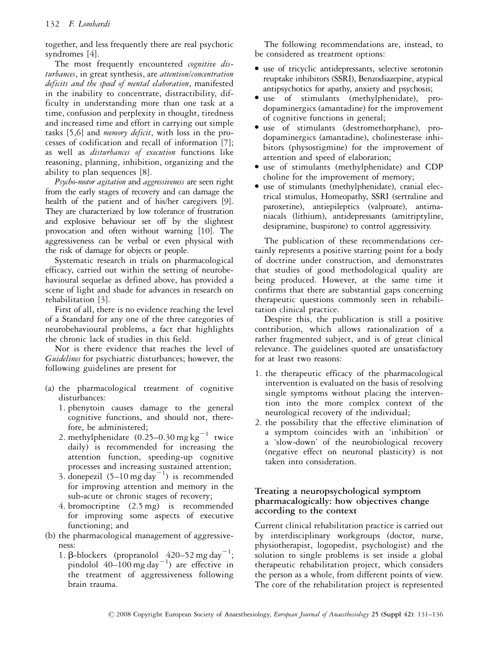together, and less frequently there are real psychotic syndromes [4].

The most frequently encountered cognitive disturbances, in great synthesis, are attention/concentration deficits and the speed of mental elaboration, manifested in the inability to concentrate, distractibility, difficulty in understanding more than one task at a time, confusion and perplexity in thought, tiredness and increased time and effort in carrying out simple tasks [5,6] and memory deficit, with loss in the processes of codification and recall of information [7]; as well as *disturbances of execution* functions like reasoning, planning, inhibition, organizing and the ability to plan sequences [8].

Psycho-motor agitation and aggressiveness are seen right from the early stages of recovery and can damage the health of the patient and of his/her caregivers [9]. They are characterized by low tolerance of frustration and explosive behaviour set off by the slightest provocation and often without warning [10]. The aggressiveness can be verbal or even physical with the risk of damage for objects or people.

Systematic research in trials on pharmacological efficacy, carried out within the setting of neurobehavioural sequelae as defined above, has provided a scene of light and shade for advances in research on rehabilitation [3].

First of all, there is no evidence reaching the level of a Standard for any one of the three categories of neurobehavioural problems, a fact that highlights the chronic lack of studies in this field.

Nor is there evidence that reaches the level of Guidelines for psychiatric disturbances; however, the following guidelines are present for

- (a) the pharmacological treatment of cognitive disturbances:
	- 1. phenytoin causes damage to the general cognitive functions, and should not, therefore, be administered;
	- 2. methylphenidate  $(0.25-0.30$  mg kg<sup>-1</sup> twice daily) is recommended for increasing the attention function, speeding-up cognitive processes and increasing sustained attention;
	- 3. donepezil  $(5-10 \text{ mg day}^{-1})$  is recommended for improving attention and memory in the sub-acute or chronic stages of recovery;
	- 4. bromocriptine (2.5 mg) is recommended for improving some aspects of executive functioning; and
- (b) the pharmacological management of aggressiveness:
	- 1.  $\beta$ -blockers (propranolol 420–52 mg day<sup>-1</sup>; pindolol  $40-100$  mg day<sup>-1</sup>) are effective in the treatment of aggressiveness following brain trauma.

The following recommendations are, instead, to be considered as treatment options:

- <sup>&</sup>gt; use of tricyclic antidepressants, selective serotonin reuptake inhibitors (SSRI), Benzodiazepine, atypical antipsychotics for apathy, anxiety and psychosis;
- <sup>&</sup>gt; use of stimulants (methylphenidate), prodopaminergics (amantadine) for the improvement of cognitive functions in general;
- <sup>&</sup>gt; use of stimulants (destromethorphane), prodopaminergics (amantadine), cholinesterase inhibitors (physostigmine) for the improvement of attention and speed of elaboration;
- <sup>&</sup>gt; use of stimulants (methylphenidate) and CDP choline for the improvement of memory;
- <sup>&</sup>gt; use of stimulants (methylphenidate), cranial electrical stimulus, Homeopathy, SSRI (sertraline and paroxetine), antiepileptics (valproate), antimaniacals (lithium), antidepressants (amitriptyline, desipramine, buspirone) to control aggressivity.

The publication of these recommendations certainly represents a positive starting point for a body of doctrine under construction, and demonstrates that studies of good methodological quality are being produced. However, at the same time it confirms that there are substantial gaps concerning therapeutic questions commonly seen in rehabilitation clinical practice.

Despite this, the publication is still a positive contribution, which allows rationalization of a rather fragmented subject, and is of great clinical relevance. The guidelines quoted are unsatisfactory for at least two reasons:

- 1. the therapeutic efficacy of the pharmacological intervention is evaluated on the basis of resolving single symptoms without placing the intervention into the more complex context of the neurological recovery of the individual;
- 2. the possibility that the effective elimination of a symptom coincides with an 'inhibition' or a 'slow-down' of the neurobiological recovery (negative effect on neuronal plasticity) is not taken into consideration.

# Treating a neuropsychological symptom pharmacalogically: how objectives change according to the context

Current clinical rehabilitation practice is carried out by interdisciplinary workgroups (doctor, nurse, physiotherapist, logopedist, psychologist) and the solution to single problems is set inside a global therapeutic rehabilitation project, which considers the person as a whole, from different points of view. The core of the rehabilitation project is represented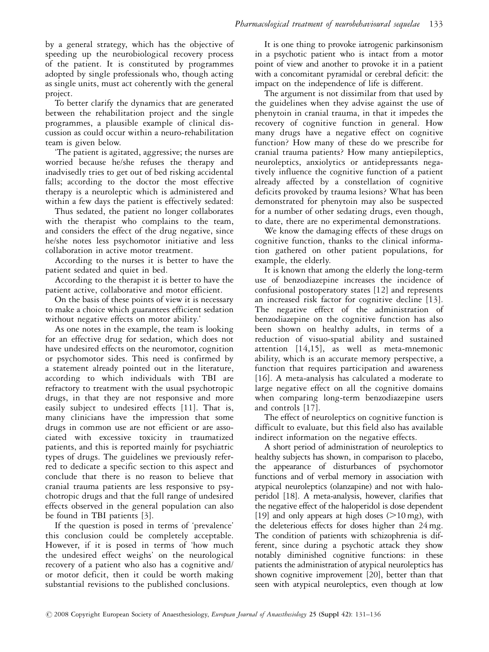by a general strategy, which has the objective of speeding up the neurobiological recovery process of the patient. It is constituted by programmes adopted by single professionals who, though acting as single units, must act coherently with the general project.

To better clarify the dynamics that are generated between the rehabilitation project and the single programmes, a plausible example of clinical discussion as could occur within a neuro-rehabilitation team is given below.

'The patient is agitated, aggressive; the nurses are worried because he/she refuses the therapy and inadvisedly tries to get out of bed risking accidental falls; according to the doctor the most effective therapy is a neuroleptic which is administered and within a few days the patient is effectively sedated:

Thus sedated, the patient no longer collaborates with the therapist who complains to the team, and considers the effect of the drug negative, since he/she notes less psychomotor initiative and less collaboration in active motor treatment.

According to the nurses it is better to have the patient sedated and quiet in bed.

According to the therapist it is better to have the patient active, collaborative and motor efficient.

On the basis of these points of view it is necessary to make a choice which guarantees efficient sedation without negative effects on motor ability.'

As one notes in the example, the team is looking for an effective drug for sedation, which does not have undesired effects on the neuromotor, cognition or psychomotor sides. This need is confirmed by a statement already pointed out in the literature, according to which individuals with TBI are refractory to treatment with the usual psychotropic drugs, in that they are not responsive and more easily subject to undesired effects [11]. That is, many clinicians have the impression that some drugs in common use are not efficient or are associated with excessive toxicity in traumatized patients, and this is reported mainly for psychiatric types of drugs. The guidelines we previously referred to dedicate a specific section to this aspect and conclude that there is no reason to believe that cranial trauma patients are less responsive to psychotropic drugs and that the full range of undesired effects observed in the general population can also be found in TBI patients [3].

If the question is posed in terms of 'prevalence' this conclusion could be completely acceptable. However, if it is posed in terms of 'how much the undesired effect weighs' on the neurological recovery of a patient who also has a cognitive and/ or motor deficit, then it could be worth making substantial revisions to the published conclusions.

It is one thing to provoke iatrogenic parkinsonism in a psychotic patient who is intact from a motor point of view and another to provoke it in a patient with a concomitant pyramidal or cerebral deficit: the impact on the independence of life is different.

The argument is not dissimilar from that used by the guidelines when they advise against the use of phenytoin in cranial trauma, in that it impedes the recovery of cognitive function in general. How many drugs have a negative effect on cognitive function? How many of these do we prescribe for cranial trauma patients? How many antiepileptics, neuroleptics, anxiolytics or antidepressants negatively influence the cognitive function of a patient already affected by a constellation of cognitive deficits provoked by trauma lesions? What has been demonstrated for phenytoin may also be suspected for a number of other sedating drugs, even though, to date, there are no experimental demonstrations.

We know the damaging effects of these drugs on cognitive function, thanks to the clinical information gathered on other patient populations, for example, the elderly.

It is known that among the elderly the long-term use of benzodiazepine increases the incidence of confusional postoperatory states [12] and represents an increased risk factor for cognitive decline [13]. The negative effect of the administration of benzodiazepine on the cognitive function has also been shown on healthy adults, in terms of a reduction of visuo-spatial ability and sustained attention [14,15], as well as meta-mnemonic ability, which is an accurate memory perspective, a function that requires participation and awareness [16]. A meta-analysis has calculated a moderate to large negative effect on all the cognitive domains when comparing long-term benzodiazepine users and controls [17].

The effect of neuroleptics on cognitive function is difficult to evaluate, but this field also has available indirect information on the negative effects.

A short period of administration of neuroleptics to healthy subjects has shown, in comparison to placebo, the appearance of disturbances of psychomotor functions and of verbal memory in association with atypical neuroleptics (olanzapine) and not with haloperidol [18]. A meta-analysis, however, clarifies that the negative effect of the haloperidol is dose dependent [19] and only appears at high doses  $(>10 \text{ mg})$ , with the deleterious effects for doses higher than 24 mg. The condition of patients with schizophrenia is different, since during a psychotic attack they show notably diminished cognitive functions: in these patients the administration of atypical neuroleptics has shown cognitive improvement [20], better than that seen with atypical neuroleptics, even though at low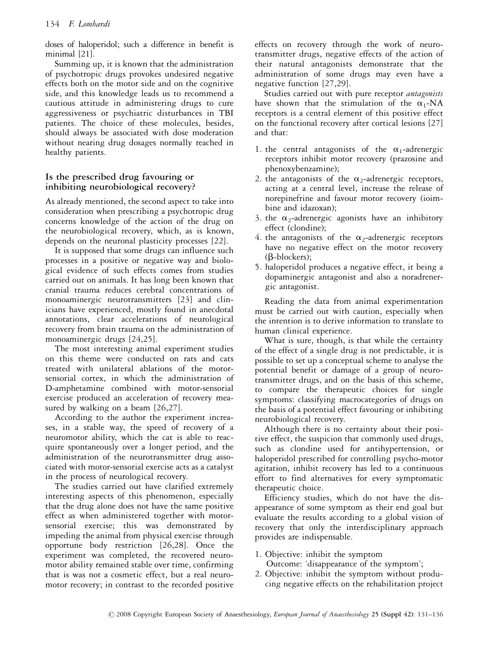doses of haloperidol; such a difference in benefit is minimal [21].

Summing up, it is known that the administration of psychotropic drugs provokes undesired negative effects both on the motor side and on the cognitive side, and this knowledge leads us to recommend a cautious attitude in administering drugs to cure aggressiveness or psychiatric disturbances in TBI patients. The choice of these molecules, besides, should always be associated with dose moderation without nearing drug dosages normally reached in healthy patients.

# Is the prescribed drug favouring or inhibiting neurobiological recovery?

As already mentioned, the second aspect to take into consideration when prescribing a psychotropic drug concerns knowledge of the action of the drug on the neurobiological recovery, which, as is known, depends on the neuronal plasticity processes [22].

It is supposed that some drugs can influence such processes in a positive or negative way and biological evidence of such effects comes from studies carried out on animals. It has long been known that cranial trauma reduces cerebral concentrations of monoaminergic neurotransmitters [23] and clinicians have experienced, mostly found in anecdotal annotations, clear accelerations of neurological recovery from brain trauma on the administration of monoaminergic drugs [24,25].

The most interesting animal experiment studies on this theme were conducted on rats and cats treated with unilateral ablations of the motorsensorial cortex, in which the administration of D-amphetamine combined with motor-sensorial exercise produced an acceleration of recovery measured by walking on a beam [26,27].

According to the author the experiment increases, in a stable way, the speed of recovery of a neuromotor ability, which the cat is able to reacquire spontaneously over a longer period, and the administration of the neurotransmitter drug associated with motor-sensorial exercise acts as a catalyst in the process of neurological recovery.

The studies carried out have clarified extremely interesting aspects of this phenomenon, especially that the drug alone does not have the same positive effect as when administered together with motorsensorial exercise; this was demonstrated by impeding the animal from physical exercise through opportune body restriction [26,28]. Once the experiment was completed, the recovered neuromotor ability remained stable over time, confirming that is was not a cosmetic effect, but a real neuromotor recovery; in contrast to the recorded positive

effects on recovery through the work of neurotransmitter drugs, negative effects of the action of their natural antagonists demonstrate that the administration of some drugs may even have a negative function [27,29].

Studies carried out with pure receptor antagonists have shown that the stimulation of the  $\alpha_1$ -NA receptors is a central element of this positive effect on the functional recovery after cortical lesions [27] and that:

- 1. the central antagonists of the  $\alpha_1$ -adrenergic receptors inhibit motor recovery (prazosine and phenoxybenzamine);
- 2. the antagonists of the  $\alpha_2$ -adrenergic receptors, acting at a central level, increase the release of norepinefrine and favour motor recovery (ioimbine and idazoxan);
- 3. the  $\alpha_2$ -adrenergic agonists have an inhibitory effect (clondine);
- 4. the antagonists of the  $\alpha_2$ -adrenergic receptors have no negative effect on the motor recovery (b-blockers);
- 5. haloperidol produces a negative effect, it being a dopaminergic antagonist and also a noradrenergic antagonist.

Reading the data from animal experimentation must be carried out with caution, especially when the intention is to derive information to translate to human clinical experience.

What is sure, though, is that while the certainty of the effect of a single drug is not predictable, it is possible to set up a conceptual scheme to analyse the potential benefit or damage of a group of neurotransmitter drugs, and on the basis of this scheme, to compare the therapeutic choices for single symptoms: classifying macrocategories of drugs on the basis of a potential effect favouring or inhibiting neurobiological recovery.

Although there is no certainty about their positive effect, the suspicion that commonly used drugs, such as clondine used for antihypertension, or haloperidol prescribed for controlling psycho-motor agitation, inhibit recovery has led to a continuous effort to find alternatives for every symptomatic therapeutic choice.

Efficiency studies, which do not have the disappearance of some symptom as their end goal but evaluate the results according to a global vision of recovery that only the interdisciplinary approach provides are indispensable.

- 1. Objective: inhibit the symptom Outcome: 'disappearance of the symptom';
- 2. Objective: inhibit the symptom without producing negative effects on the rehabilitation project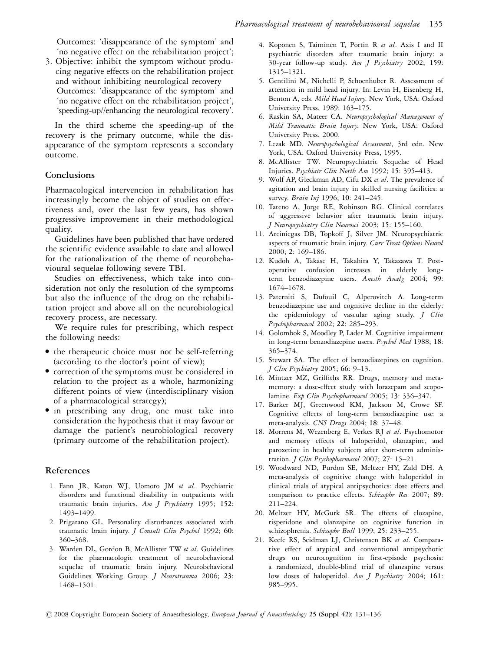Outcomes: 'disappearance of the symptom' and 'no negative effect on the rehabilitation project';

3. Objective: inhibit the symptom without producing negative effects on the rehabilitation project and without inhibiting neurological recovery Outcomes: 'disappearance of the symptom' and 'no negative effect on the rehabilitation project', 'speeding-up//enhancing the neurological recovery'.

In the third scheme the speeding-up of the recovery is the primary outcome, while the disappearance of the symptom represents a secondary outcome.

### Conclusions

Pharmacological intervention in rehabilitation has increasingly become the object of studies on effectiveness and, over the last few years, has shown progressive improvement in their methodological quality.

Guidelines have been published that have ordered the scientific evidence available to date and allowed for the rationalization of the theme of neurobehavioural sequelae following severe TBI.

Studies on effectiveness, which take into consideration not only the resolution of the symptoms but also the influence of the drug on the rehabilitation project and above all on the neurobiological recovery process, are necessary.

We require rules for prescribing, which respect the following needs:

- <sup>&</sup>gt; the therapeutic choice must not be self-referring (according to the doctor's point of view);
- <sup>&</sup>gt; correction of the symptoms must be considered in relation to the project as a whole, harmonizing different points of view (interdisciplinary vision of a pharmacological strategy);
- <sup>&</sup>gt; in prescribing any drug, one must take into consideration the hypothesis that it may favour or damage the patient's neurobiological recovery (primary outcome of the rehabilitation project).

#### References

- 1. Fann JR, Katon WJ, Uomoto JM et al. Psychiatric disorders and functional disability in outpatients with traumatic brain injuries. Am J Psychiatry 1995; 152: 1493–1499.
- 2. Prigatano GL. Personality disturbances associated with traumatic brain injury. J Consult Clin Psychol 1992; 60: 360–368.
- 3. Warden DL, Gordon B, McAllister TW et al. Guidelines for the pharmacologic treatment of neurobehavioral sequelae of traumatic brain injury. Neurobehavioral Guidelines Working Group. J Neurotrauma 2006; 23: 1468–1501.
- 4. Koponen S, Taiminen T, Portin R et al. Axis I and II psychiatric disorders after traumatic brain injury: a 30-year follow-up study. Am J Psychiatry 2002; 159: 1315–1321.
- 5. Gentilini M, Nichelli P, Schoenhuber R. Assessment of attention in mild head injury. In: Levin H, Eisenberg H, Benton A, eds. Mild Head Injury. New York, USA: Oxford University Press, 1989: 163–175.
- 6. Raskin SA, Mateer CA. Neuropsychological Management of Mild Traumatic Brain Injury. New York, USA: Oxford University Press, 2000.
- 7. Lezak MD. Neuropsychological Assessment, 3rd edn. New York, USA: Oxford University Press, 1995.
- 8. McAllister TW. Neuropsychiatric Sequelae of Head Injuries. Psychiatr Clin North Am 1992; 15: 395–413.
- 9. Wolf AP, Gleckman AD, Cifu DX et al. The prevalence of agitation and brain injury in skilled nursing facilities: a survey. Brain Inj 1996; 10: 241-245.
- 10. Tateno A, Jorge RE, Robinson RG. Clinical correlates of aggressive behavior after traumatic brain injury. J Neuropsychiatry Clin Neurosci 2003; 15: 155–160.
- 11. Arciniegas DB, Topkoff J, Silver JM. Neuropsychiatric aspects of traumatic brain injury. Curr Treat Options Neurol 2000; 2: 169–186.
- 12. Kudoh A, Takase H, Takahira Y, Takazawa T. Postoperative confusion increases in elderly longterm benzodiazepine users. Anesth Analg 2004; 99: 1674–1678.
- 13. Paterniti S, Dufouil C, Alperovitch A. Long-term benzodiazepine use and cognitive decline in the elderly: the epidemiology of vascular aging study. J Clin Psychopharmacol 2002; 22: 285–293.
- 14. Golombok S, Moodley P, Lader M. Cognitive impairment in long-term benzodiazepine users. Psychol Med 1988; 18: 365–374.
- 15. Stewart SA. The effect of benzodiazepines on cognition. J Clin Psychiatry 2005; 66: 9–13.
- 16. Mintzer MZ, Griffiths RR. Drugs, memory and metamemory: a dose-effect study with lorazepam and scopolamine. Exp Clin Psychopharmacol 2005; 13: 336-347.
- 17. Barker MJ, Greenwood KM, Jackson M, Crowe SF. Cognitive effects of long-term benzodiazepine use: a meta-analysis. CNS Drugs 2004; 18: 37–48.
- 18. Morrens M, Wezenberg E, Verkes RJ et al. Psychomotor and memory effects of haloperidol, olanzapine, and paroxetine in healthy subjects after short-term administration. J Clin Psychopharmacol 2007; 27: 15-21.
- 19. Woodward ND, Purdon SE, Meltzer HY, Zald DH. A meta-analysis of cognitive change with haloperidol in clinical trials of atypical antipsychotics: dose effects and comparison to practice effects. Schizophr Res 2007; 89: 211–224.
- 20. Meltzer HY, McGurk SR. The effects of clozapine, risperidone and olanzapine on cognitive function in schizophrenia. Schizophr Bull 1999; 25: 233-255.
- 21. Keefe RS, Seidman LJ, Christensen BK et al. Comparative effect of atypical and conventional antipsychotic drugs on neurocognition in first-episode psychosis: a randomized, double-blind trial of olanzapine versus low doses of haloperidol. Am J Psychiatry 2004; 161: 985–995.